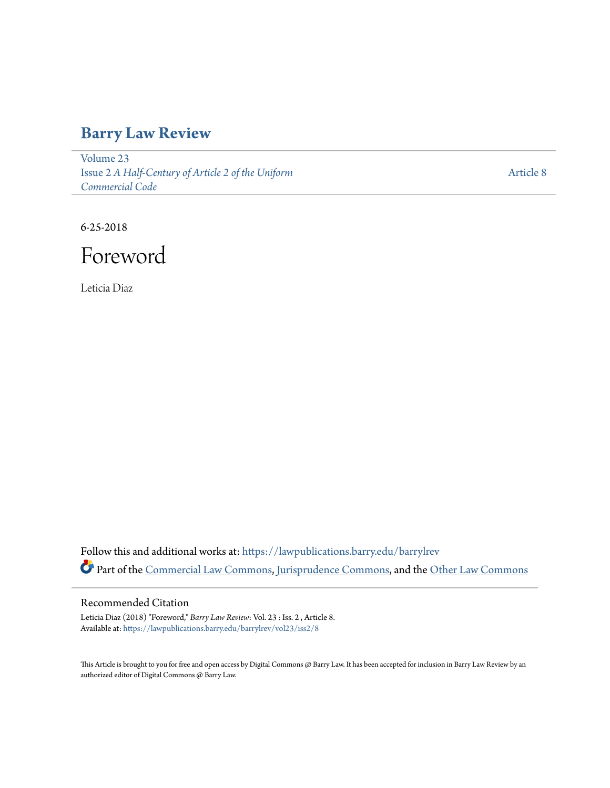## **[Barry Law Review](https://lawpublications.barry.edu/barrylrev?utm_source=lawpublications.barry.edu%2Fbarrylrev%2Fvol23%2Fiss2%2F8&utm_medium=PDF&utm_campaign=PDFCoverPages)**

[Volume 23](https://lawpublications.barry.edu/barrylrev/vol23?utm_source=lawpublications.barry.edu%2Fbarrylrev%2Fvol23%2Fiss2%2F8&utm_medium=PDF&utm_campaign=PDFCoverPages) Issue 2 *[A Half-Century of Article 2 of the Uniform](https://lawpublications.barry.edu/barrylrev/vol23/iss2?utm_source=lawpublications.barry.edu%2Fbarrylrev%2Fvol23%2Fiss2%2F8&utm_medium=PDF&utm_campaign=PDFCoverPages) [Commercial Code](https://lawpublications.barry.edu/barrylrev/vol23/iss2?utm_source=lawpublications.barry.edu%2Fbarrylrev%2Fvol23%2Fiss2%2F8&utm_medium=PDF&utm_campaign=PDFCoverPages)*

[Article 8](https://lawpublications.barry.edu/barrylrev/vol23/iss2/8?utm_source=lawpublications.barry.edu%2Fbarrylrev%2Fvol23%2Fiss2%2F8&utm_medium=PDF&utm_campaign=PDFCoverPages)

6-25-2018

Foreword

Leticia Diaz

Follow this and additional works at: [https://lawpublications.barry.edu/barrylrev](https://lawpublications.barry.edu/barrylrev?utm_source=lawpublications.barry.edu%2Fbarrylrev%2Fvol23%2Fiss2%2F8&utm_medium=PDF&utm_campaign=PDFCoverPages) Part of the [Commercial Law Commons](http://network.bepress.com/hgg/discipline/586?utm_source=lawpublications.barry.edu%2Fbarrylrev%2Fvol23%2Fiss2%2F8&utm_medium=PDF&utm_campaign=PDFCoverPages), [Jurisprudence Commons,](http://network.bepress.com/hgg/discipline/610?utm_source=lawpublications.barry.edu%2Fbarrylrev%2Fvol23%2Fiss2%2F8&utm_medium=PDF&utm_campaign=PDFCoverPages) and the [Other Law Commons](http://network.bepress.com/hgg/discipline/621?utm_source=lawpublications.barry.edu%2Fbarrylrev%2Fvol23%2Fiss2%2F8&utm_medium=PDF&utm_campaign=PDFCoverPages)

## Recommended Citation

Leticia Diaz (2018) "Foreword," *Barry Law Review*: Vol. 23 : Iss. 2 , Article 8. Available at: [https://lawpublications.barry.edu/barrylrev/vol23/iss2/8](https://lawpublications.barry.edu/barrylrev/vol23/iss2/8?utm_source=lawpublications.barry.edu%2Fbarrylrev%2Fvol23%2Fiss2%2F8&utm_medium=PDF&utm_campaign=PDFCoverPages)

This Article is brought to you for free and open access by Digital Commons @ Barry Law. It has been accepted for inclusion in Barry Law Review by an authorized editor of Digital Commons @ Barry Law.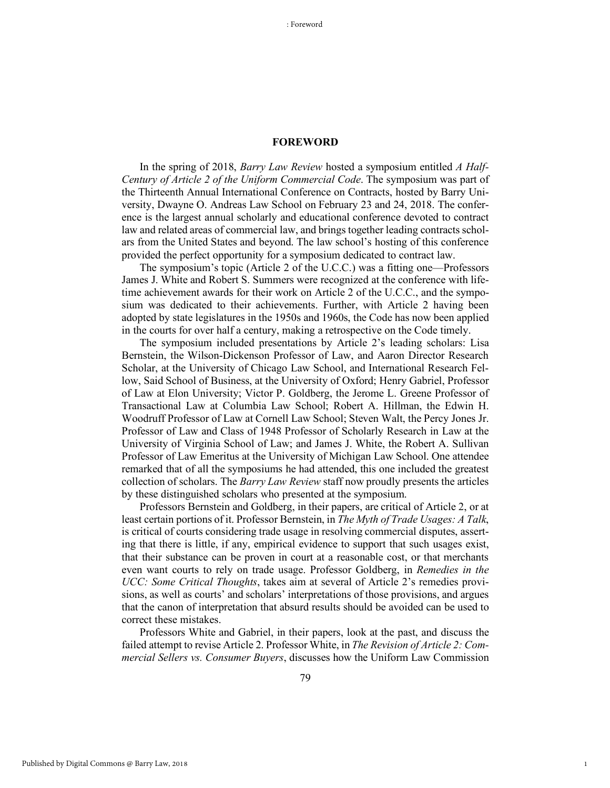## **FOREWORD**

In the spring of 2018, *Barry Law Review* hosted a symposium entitled *A Half-Century of Article 2 of the Uniform Commercial Code*. The symposium was part of the Thirteenth Annual International Conference on Contracts, hosted by Barry University, Dwayne O. Andreas Law School on February 23 and 24, 2018. The conference is the largest annual scholarly and educational conference devoted to contract law and related areas of commercial law, and brings together leading contracts scholars from the United States and beyond. The law school's hosting of this conference provided the perfect opportunity for a symposium dedicated to contract law.

The symposium's topic (Article 2 of the U.C.C.) was a fitting one—Professors James J. White and Robert S. Summers were recognized at the conference with lifetime achievement awards for their work on Article 2 of the U.C.C., and the symposium was dedicated to their achievements. Further, with Article 2 having been adopted by state legislatures in the 1950s and 1960s, the Code has now been applied in the courts for over half a century, making a retrospective on the Code timely.

The symposium included presentations by Article 2's leading scholars: Lisa Bernstein, the Wilson-Dickenson Professor of Law, and Aaron Director Research Scholar, at the University of Chicago Law School, and International Research Fellow, Said School of Business, at the University of Oxford; Henry Gabriel, Professor of Law at Elon University; Victor P. Goldberg, the Jerome L. Greene Professor of Transactional Law at Columbia Law School; Robert A. Hillman, the Edwin H. Woodruff Professor of Law at Cornell Law School; Steven Walt, the Percy Jones Jr. Professor of Law and Class of 1948 Professor of Scholarly Research in Law at the University of Virginia School of Law; and James J. White, the Robert A. Sullivan Professor of Law Emeritus at the University of Michigan Law School. One attendee remarked that of all the symposiums he had attended, this one included the greatest collection of scholars. The *Barry Law Review* staff now proudly presents the articles by these distinguished scholars who presented at the symposium.

Professors Bernstein and Goldberg, in their papers, are critical of Article 2, or at least certain portions of it. Professor Bernstein, in *The Myth of Trade Usages: A Talk*, is critical of courts considering trade usage in resolving commercial disputes, asserting that there is little, if any, empirical evidence to support that such usages exist, that their substance can be proven in court at a reasonable cost, or that merchants even want courts to rely on trade usage. Professor Goldberg, in *Remedies in the UCC: Some Critical Thoughts*, takes aim at several of Article 2's remedies provisions, as well as courts' and scholars' interpretations of those provisions, and argues that the canon of interpretation that absurd results should be avoided can be used to correct these mistakes.

Professors White and Gabriel, in their papers, look at the past, and discuss the failed attempt to revise Article 2. Professor White, in *The Revision of Article 2: Commercial Sellers vs. Consumer Buyers*, discusses how the Uniform Law Commission

1